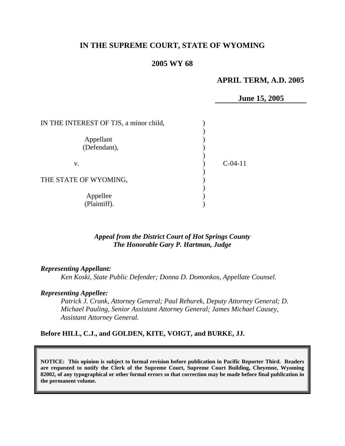# **IN THE SUPREME COURT, STATE OF WYOMING**

# **2005 WY 68**

## **APRIL TERM, A.D. 2005**

**June 15, 2005** 

| IN THE INTEREST OF TJS, a minor child, |           |  |
|----------------------------------------|-----------|--|
| Appellant                              |           |  |
| (Defendant),                           |           |  |
| V.                                     | $C-04-11$ |  |
| THE STATE OF WYOMING,                  |           |  |
| Appellee<br>(Plaintiff).               |           |  |

# *Appeal from the District Court of Hot Springs County The Honorable Gary P. Hartman, Judge*

#### *Representing Appellant:*

*Ken Koski, State Public Defender; Donna D. Domonkos, Appellate Counsel.* 

#### *Representing Appellee:*

*Patrick J. Crank, Attorney General; Paul Rehurek, Deputy Attorney General; D. Michael Pauling, Senior Assistant Attorney General; James Michael Causey, Assistant Attorney General.* 

### **Before HILL, C.J., and GOLDEN, KITE, VOIGT, and BURKE, JJ.**

**NOTICE: This opinion is subject to formal revision before publication in Pacific Reporter Third. Readers are requested to notify the Clerk of the Supreme Court, Supreme Court Building, Cheyenne, Wyoming 82002, of any typographical or other formal errors so that correction may be made before final publication in the permanent volume.**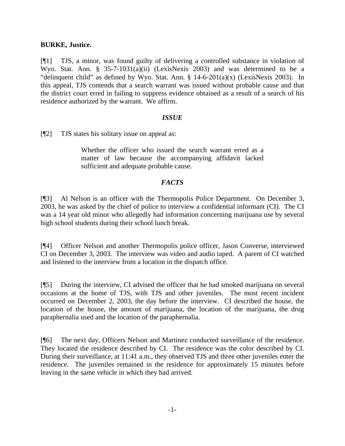## **BURKE, Justice.**

[¶1] TJS, a minor, was found guilty of delivering a controlled substance in violation of Wyo. Stat. Ann. § 35-7-1031(a)(ii) (LexisNexis 2003) and was determined to be a "delinquent child" as defined by Wyo. Stat. Ann.  $\S$  14-6-201(a)(x) (LexisNexis 2003). In this appeal, TJS contends that a search warrant was issued without probable cause and that the district court erred in failing to suppress evidence obtained as a result of a search of his residence authorized by the warrant. We affirm.

## *ISSUE*

[¶2] TJS states his solitary issue on appeal as:

Whether the officer who issued the search warrant erred as a matter of law because the accompanying affidavit lacked sufficient and adequate probable cause.

# *FACTS*

[¶3] Al Nelson is an officer with the Thermopolis Police Department. On December 3, 2003, he was asked by the chief of police to interview a confidential informant (CI). The CI was a 14 year old minor who allegedly had information concerning marijuana use by several high school students during their school lunch break.

[¶4] Officer Nelson and another Thermopolis police officer, Jason Converse, interviewed CI on December 3, 2003. The interview was video and audio taped. A parent of CI watched and listened to the interview from a location in the dispatch office.

[¶5] During the interview, CI advised the officer that he had smoked marijuana on several occasions at the home of TJS, with TJS and other juveniles. The most recent incident occurred on December 2, 2003, the day before the interview. CI described the house, the location of the house, the amount of marijuana, the location of the marijuana, the drug paraphernalia used and the location of the paraphernalia.

[¶6] The next day, Officers Nelson and Martinez conducted surveillance of the residence. They located the residence described by CI. The residence was the color described by CI. During their surveillance, at 11:41 a.m., they observed TJS and three other juveniles enter the residence. The juveniles remained in the residence for approximately 15 minutes before leaving in the same vehicle in which they had arrived.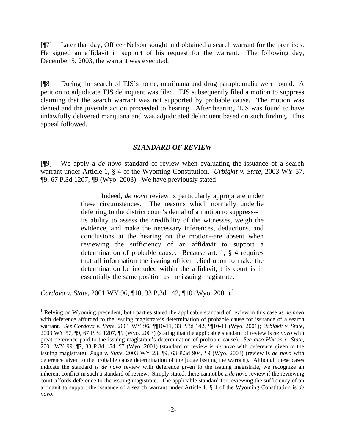[¶7] Later that day, Officer Nelson sought and obtained a search warrant for the premises. He signed an affidavit in support of his request for the warrant. The following day, December 5, 2003, the warrant was executed.

[¶8] During the search of TJS's home, marijuana and drug paraphernalia were found. A petition to adjudicate TJS delinquent was filed. TJS subsequently filed a motion to suppress claiming that the search warrant was not supported by probable cause. The motion was denied and the juvenile action proceeded to hearing. After hearing, TJS was found to have unlawfully delivered marijuana and was adjudicated delinquent based on such finding. This appeal followed.

### *STANDARD OF REVIEW*

[¶9] We apply a *de novo* standard of review when evaluating the issuance of a search warrant under Article 1, § 4 of the Wyoming Constitution. *Urbigkit v. State,* 2003 WY 57, ¶9, 67 P.3d 1207, ¶9 (Wyo. 2003). We have previously stated:

> Indeed, *de novo* review is particularly appropriate under these circumstances. The reasons which normally underlie deferring to the district court's denial of a motion to suppress- its ability to assess the credibility of the witnesses, weigh the evidence, and make the necessary inferences, deductions, and conclusions at the hearing on the motion--are absent when reviewing the sufficiency of an affidavit to support a determination of probable cause. Because art. 1, § 4 requires that all information the issuing officer relied upon to make the determination be included within the affidavit, this court is in essentially the same position as the issuing magistrate.

*Cordova v. State,* 2001 WY 96, ¶10, 33 P.3d 142, ¶10 (Wyo. 2001).[1](#page-2-0)

 $\overline{a}$ 

<span id="page-2-0"></span><sup>1</sup> Relying on Wyoming precedent, both parties stated the applicable standard of review in this case as *de novo* with deference afforded to the issuing magistrate's determination of probable cause for issuance of a search warrant. *See Cordova v. State*, 2001 WY 96, ¶¶10-11, 33 P.3d 142, ¶¶10-11 (Wyo. 2001); *Urbigkit v. State,*  2003 WY 57, ¶9, 67 P.3d 1207, ¶9 (Wyo. 2003) (stating that the applicable standard of review is *de novo* with great deference paid to the issuing magistrate's determination of probable cause). *See also Hixson v. State*, 2001 WY 99, ¶7, 33 P.3d 154, ¶7 (Wyo. 2001) (standard of review is *de novo* with deference given to the issuing magistrate); *Page v. State*, 2003 WY 23, ¶9, 63 P.3d 904, ¶9 (Wyo. 2003) (review is *de novo* with deference given to the probable cause determination of the judge issuing the warrant). Although these cases indicate the standard is *de novo* review with deference given to the issuing magistrate, we recognize an inherent conflict in such a standard of review. Simply stated, there cannot be a *de novo* review if the reviewing court affords deference to the issuing magistrate. The applicable standard for reviewing the sufficiency of an affidavit to support the issuance of a search warrant under Article 1, § 4 of the Wyoming Constitution is *de novo*.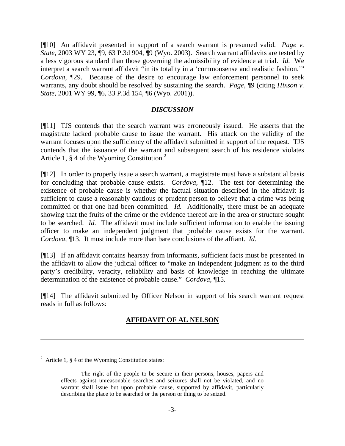[¶10] An affidavit presented in support of a search warrant is presumed valid. *Page v. State,* 2003 WY 23, ¶9, 63 P.3d 904, ¶9 (Wyo. 2003). Search warrant affidavits are tested by a less vigorous standard than those governing the admissibility of evidence at trial. *Id.* We interpret a search warrant affidavit "in its totality in a 'commonsense and realistic fashion.'" *Cordova,* ¶29. Because of the desire to encourage law enforcement personnel to seek warrants, any doubt should be resolved by sustaining the search. *Page,* ¶9 (citing *Hixson v. State,* 2001 WY 99, ¶6, 33 P.3d 154, ¶6 (Wyo. 2001)).

#### *DISCUSSION*

[¶11] TJS contends that the search warrant was erroneously issued. He asserts that the magistrate lacked probable cause to issue the warrant. His attack on the validity of the warrant focuses upon the sufficiency of the affidavit submitted in support of the request. TJS contends that the issuance of the warrant and subsequent search of his residence violates Article 1, § 4 of the Wyoming Constitution.<sup>2</sup>

[¶12] In order to properly issue a search warrant, a magistrate must have a substantial basis for concluding that probable cause exists. *Cordova,* ¶12. The test for determining the existence of probable cause is whether the factual situation described in the affidavit is sufficient to cause a reasonably cautious or prudent person to believe that a crime was being committed or that one had been committed. *Id.* Additionally, there must be an adequate showing that the fruits of the crime or the evidence thereof are in the area or structure sought to be searched. *Id.* The affidavit must include sufficient information to enable the issuing officer to make an independent judgment that probable cause exists for the warrant. *Cordova,* ¶13. It must include more than bare conclusions of the affiant. *Id.*

[¶13] If an affidavit contains hearsay from informants, sufficient facts must be presented in the affidavit to allow the judicial officer to "make an independent judgment as to the third party's credibility, veracity, reliability and basis of knowledge in reaching the ultimate determination of the existence of probable cause." *Cordova,* ¶15.

[¶14] The affidavit submitted by Officer Nelson in support of his search warrant request reads in full as follows:

# **AFFIDAVIT OF AL NELSON**

 $\overline{a}$ 

<span id="page-3-0"></span><sup>&</sup>lt;sup>2</sup> Article 1,  $\S$  4 of the Wyoming Constitution states:

The right of the people to be secure in their persons, houses, papers and effects against unreasonable searches and seizures shall not be violated, and no warrant shall issue but upon probable cause, supported by affidavit, particularly describing the place to be searched or the person or thing to be seized.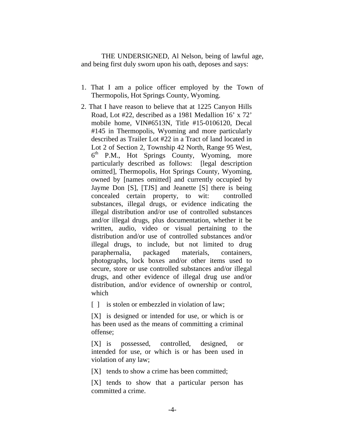THE UNDERSIGNED, Al Nelson, being of lawful age, and being first duly sworn upon his oath, deposes and says:

- 1. That I am a police officer employed by the Town of Thermopolis, Hot Springs County, Wyoming.
- 2. That I have reason to believe that at 1225 Canyon Hills Road, Lot #22, described as a 1981 Medallion 16' x 72' mobile home, VIN#6513N, Title #15-0106120, Decal #145 in Thermopolis, Wyoming and more particularly described as Trailer Lot #22 in a Tract of land located in Lot 2 of Section 2, Township 42 North, Range 95 West,  $6<sup>th</sup>$  P.M., Hot Springs County, Wyoming, more particularly described as follows: [legal description omitted], Thermopolis, Hot Springs County, Wyoming, owned by [names omitted] and currently occupied by Jayme Don [S], [TJS] and Jeanette [S] there is being concealed certain property, to wit: controlled substances, illegal drugs, or evidence indicating the illegal distribution and/or use of controlled substances and/or illegal drugs, plus documentation, whether it be written, audio, video or visual pertaining to the distribution and/or use of controlled substances and/or illegal drugs, to include, but not limited to drug paraphernalia, packaged materials, containers, photographs, lock boxes and/or other items used to secure, store or use controlled substances and/or illegal drugs, and other evidence of illegal drug use and/or distribution, and/or evidence of ownership or control, which

[ ] is stolen or embezzled in violation of law;

[X] is designed or intended for use, or which is or has been used as the means of committing a criminal offen se;

[X] is possessed, controlled, designed, or intended for use, or which is or has been used in viola tion of any law;

[X] tends to show a crime has been committed;

 $[X]$  tends to show that a particular person has committed a crime.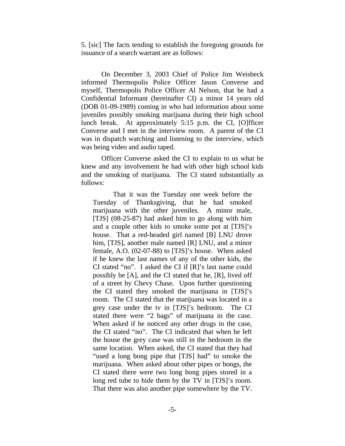5. [sic] The facts tending to establish the foregoing grounds for issuance of a search warrant are as follows:

On December 3, 2003 Chief of Police Jim Weisbeck informed Thermopolis Police Officer Jason Converse and myself, Thermopolis Police Officer Al Nelson, that he had a Confidential Informant (hereinafter CI) a minor 14 years old (DOB 01-09-1989) coming in who had information about some juveniles possibly smoking marijuana during their high school lunch break. At approximately 5:15 p.m. the CI, [O]fficer Converse and I met in the interview room. A parent of the CI was in dispatch watching and listening to the interview, which was being video and audio taped.

Officer Converse asked the CI to explain to us what he knew and any involvement he had with other high school kids and the smoking of marijuana. The CI stated substantially as foll ows:

That it was the Tuesday one week before the Tuesda y of Thanksgiving, that he had smoked house. That a red-headed girl named [B] LNU drove him, [T JS], another male named [R] LNU, and a minor marijuana with the other juveniles. A minor male, [TJS] (08-25-87) had asked him to go along with him and a couple other kids to smoke some pot at [TJS]'s female, A.O. (02-07-88) to [TJS]'s house. When asked if he knew the last names of any of the other kids, the CI stated "no". I asked the CI if [R]'s last name could possibly be [A], and the CI stated that he, [R], lived off of a street by Chevy Chase. Upon further questioning the CI stated they smoked the marijuana in [TJS]'s room. The CI stated that the marijuana was located in a grey case under the tv in [TJS]'s bedroom. The CI stated there were "2 bags" of marijuana in the case. When asked if he noticed any other drugs in the case, the CI stated "no". The CI indicated that when he left the house the grey case was still in the bedroom in the same location. When asked, the CI stated that they had "used a long bong pipe that [TJS] had" to smoke the marijuana. When asked about other pipes or bongs, the CI stated there were two long bong pipes stored in a long red tube to hide them by the TV in [TJS]'s room. That there was also another pipe somewhere by the TV.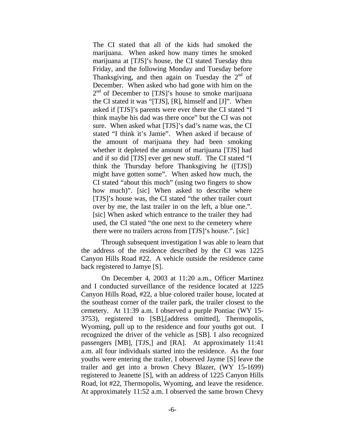The CI stated that all of the kids had smoked the marijuana. When asked how many times he smoked marijuana at [TJS]'s house, the CI stated Tuesday thru Friday, and the following Monday and Tuesday before Thanksgiving, and then again on Tuesday the  $2<sup>nd</sup>$  of December. When asked who had gone with him on the  $2<sup>nd</sup>$  of December to [TJS]'s house to smoke marijuana the CI stated it was "[TJS], [R], himself and [J]". When asked if [TJS]'s parents were ever there the CI stated "I think maybe his dad was there once" but the CI was not sure. When asked what [TJS]'s dad's name was, the CI stated "I think it's Jamie". When asked if because of the amount of marijuana they had been smoking whether it depleted the amount of marijuana [TJS] had and if so did [TJS] ever get new stuff. The CI stated "I think the Thursday before Thanksgiving he ([TJS]) might have gotten some". When asked how much, the CI stated "about this much" (using two fingers to show how much)". [sic] When asked to describe where [TJS]'s house was, the CI stated "the other trailer court over by me, the last trailer in on the left, a blue one.". [sic] When asked which entrance to the trailer they had used, the CI stated "the one next to the cemetery where there were no trailers across from [TJS]'s house.". [sic]

Through subsequent investigation I was able to learn that the address of the residence described by the CI was 1225 Canyon Hills Road #22. A vehicle outside the residence came bac k registered to Jamye [S].

On December 4, 2003 at 11:20 a.m., Officer Martinez and I conducted surveillance of the residence located at 1225 Canyon Hills Road, #22, a blue colored trailer house, located at the southeast corner of the trailer park, the trailer closest to the cemetery. At 11:39 a.m. I observed a purple Pontiac (WY 15-3753), registered to [SB],[address omitted], Thermopolis, Wyoming, pull up to the residence and four youths got out. I recognized the driver of the vehicle as [SB]. I also recognized passengers [MB], [TJS,] and [RA]. At approximately 11:41 a.m. all four individuals started into the residence. As the four youths were entering the trailer, I observed Jayme [S] leave the trailer and get into a brown Chevy Blazer, (WY 15-1699) registered to Jeanette [S], with an address of 1225 Canyon Hills Road, lot #22, Thermopolis, Wyoming, and leave the residence. At approximately 11:52 a.m. I observed the same brown Chevy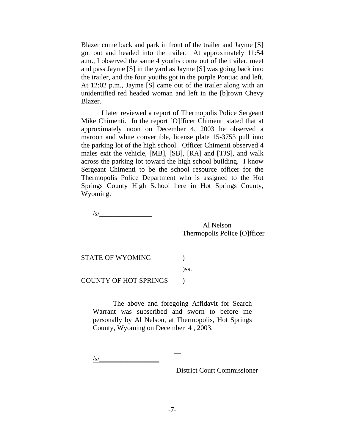Blazer come back and park in front of the trailer and Jayme [S] got out and headed into the trailer. At approximately 11:54 a.m., I observed the same 4 youths come out of the trailer, meet and pass Jayme [S] in the yard as Jayme [S] was going back into the trailer, and the four youths got in the purple Pontiac and left. At 12:02 p.m., Jayme [S] came out of the trailer along with an unidentified red headed woman and left in the [b]rown Chevy Bla zer.

I later reviewed a report of Thermopolis Police Sergeant Mike Chimenti. In the report [O]fficer Chimenti stated that at approximately noon on December 4, 2003 he observed a maroon and white convertible, license plate 15-3753 pull into the parking lot of the high school. Officer Chimenti observed 4 males exit the vehicle, [MB], [SB], [RA] and [TJS], and walk across the parking lot toward the high school building. I know Sergeant Chimenti to be the school resource officer for the Thermopolis Police Department who is assigned to the Hot Spring s County High School here in Hot Springs County, Wyoming.

 $\sqrt{s/}$ 

 Al Nelson Thermopolis Police [O]fficer

STATE OF WYOMING  $\qquad \qquad$  )

)ss.

 $\lambda$ 

COUNTY OF HOT SPRINGS

\_\_

personally by Al Nelson, at Thermopolis, Hot Springs The above and foregoing Affidavit for Search Warrant was subscribed and sworn to before me County, Wyoming on December  $\overline{4}$ , 2003.

 $\sqrt{s}$ /

District Court Commissioner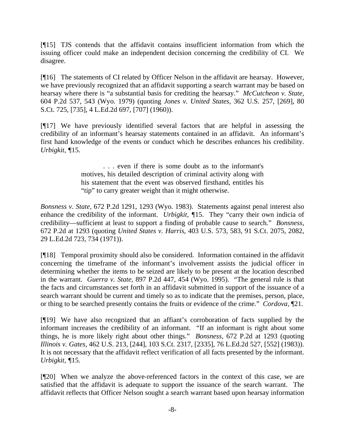[¶15] TJS contends that the affidavit contains insufficient information from which the issuing officer could make an independent decision concerning the credibility of CI. We disagree.

[¶16] The statements of CI related by Officer Nelson in the affidavit are hearsay. However, we have previously recognized that an affidavit supporting a search warrant may be based on hearsay where there is "a substantial basis for crediting the hearsay." *McCutcheon v. State*, 604 P.2d 537, 543 (Wyo. 1979) (quoting Jones v. United States, 362 U.S. 257, [269], 80 S.Ct. 725, [735], 4 L.Ed.2d 697, [707] (1960)).

credibility of an informant's hearsay statements contained in an affidavit. An informant's [¶17] We have previously identified several factors that are helpful in assessing the first hand knowledge of the events or conduct which he describes enhances his credibility. *Urbigkit, ¶*15.

> motives, his detailed description of criminal activity along with his statement that the event was observed firsthand, entitles his . . . even if there is some doubt as to the informant's "tip" to carry greater weight than it might otherwise.

enhance the credibility of the informant. *Urbigkit*,  $\P$ 15. They "carry their own indicia of credibility—sufficient at least to support a finding of probable cause to search." *Bonsness,*  672 P.2d at 1293 (quoting *United States v. Harris*, 403 U.S. 573, 583, 91 S.Ct. 2075, 2082, 29 L.Ed.2d 72 3, 734 (1971)). *Bonsness v. State,* 672 P.2d 1291, 1293 (Wyo. 1983). Statements against penal interest also

[¶18] Temporal proximity should also be considered. Information contained in the affidavit concerning the timeframe of the informant's involvement assists the judicial officer in or thing to be searched presently contains the fruits or evidence of the crime." *Cordova*,  $[21]$ . determining whether the items to be seized are likely to be present at the location described in the warrant. *Guerra v. State,* 897 P.2d 447, 454 (Wyo. 1995). "The general rule is that the facts and circumstances set forth in an affidavit submitted in support of the issuance of a search warrant should be current and timely so as to indicate that the premises, person, place,

[¶19] We have also recognized that an affiant's corroboration of facts supplied by the informant increases the credibility of an informant. "If an informant is right about some things, he is more likely right about other things." *Bonsness,* 672 P.2d at 1293 (quoting *Illinois v. Gates,* 462 U.S. 213, [244], 103 S.Ct. 2317, [2335], 76 L.Ed.2d 527, [552] (1983)). It is not necessary that the affidavit reflect verification of all facts presented by the informant. *Urbigkit, ¶*15.

[¶20] When we analyze the above-referenced factors in the context of this case, we are satisfied that the affidavit is adequate to support the issuance of the search warrant. The affidavit reflects that Officer Nelson sought a search warrant based upon hearsay information